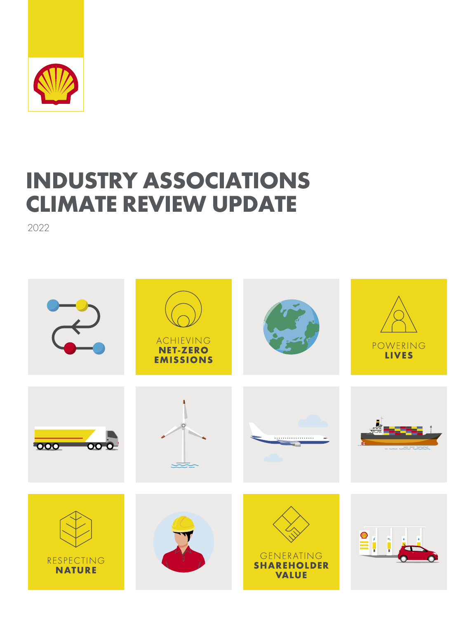

# **INDUSTRY ASSOCIATIONS CLIMATE REVIEW UPDATE**

2022

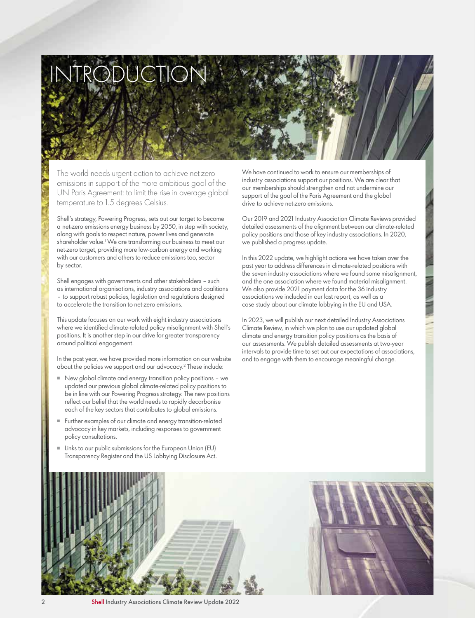

The world needs urgent action to achieve net-zero emissions in support of the more ambitious goal of the UN Paris Agreement: to limit the rise in average global temperature to 1.5 degrees Celsius.

Shell's strategy, Powering Progress, sets out our target to become a net-zero emissions energy business by 2050, in step with society, along with goals to respect nature, power lives and generate shareholder value.1 We are transforming our business to meet our net-zero target, providing more low-carbon energy and working with our customers and others to reduce emissions too, sector by sector.

Shell engages with governments and other stakeholders – such as international organisations, industry associations and coalitions – to support robust policies, legislation and regulations designed to accelerate the transition to net-zero emissions.

This update focuses on our work with eight industry associations where we identified climate-related policy misalignment with Shell's positions. It is another step in our drive for greater transparency around political engagement.

In the past year, we have provided more information on our website about the policies we support and our advocacy.2 These include:

- New global climate and energy transition policy positions we updated our previous global climate-related policy positions to be in line with our Powering Progress strategy. The new positions reflect our belief that the world needs to rapidly decarbonise each of the key sectors that contributes to global emissions.
- Further examples of our climate and energy transition-related advocacy in key markets, including responses to government policy consultations.
- Links to our public submissions for the European Union (EU) Transparency Register and the US Lobbying Disclosure Act.

We have continued to work to ensure our memberships of industry associations support our positions. We are clear that our memberships should strengthen and not undermine our support of the goal of the Paris Agreement and the global drive to achieve net-zero emissions.

Our 2019 and 2021 Industry Association Climate Reviews provided detailed assessments of the alignment between our climate-related policy positions and those of key industry associations. In 2020, we published a progress update.

In this 2022 update, we highlight actions we have taken over the past year to address differences in climate-related positions with the seven industry associations where we found some misalignment, and the one association where we found material misalignment. We also provide 2021 payment data for the 36 industry associations we included in our last report, as well as a case study about our climate lobbying in the EU and USA.

In 2023, we will publish our next detailed Industry Associations Climate Review, in which we plan to use our updated global climate and energy transition policy positions as the basis of our assessments. We publish detailed assessments at two-year intervals to provide time to set out our expectations of associations, and to engage with them to encourage meaningful change.

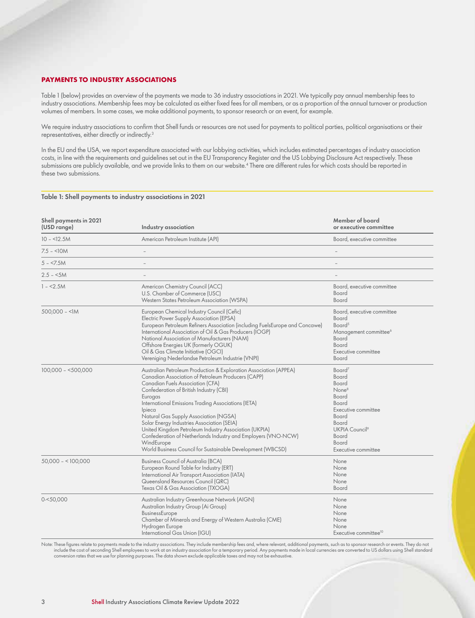#### **PAYMENTS TO INDUSTRY ASSOCIATIONS**

Table 1 (below) provides an overview of the payments we made to 36 industry associations in 2021. We typically pay annual membership fees to industry associations. Membership fees may be calculated as either fixed fees for all members, or as a proportion of the annual turnover or production volumes of members. In some cases, we make additional payments, to sponsor research or an event, for example.

We require industry associations to confirm that Shell funds or resources are not used for payments to political parties, political organisations or their representatives, either directly or indirectly.3

In the EU and the USA, we report expenditure associated with our lobbying activities, which includes estimated percentages of industry association costs, in line with the requirements and guidelines set out in the EU Transparency Register and the US Lobbying Disclosure Act respectively. These submissions are publicly available, and we provide links to them on our website.4 There are different rules for which costs should be reported in these two submissions.

## Table 1: Shell payments to industry associations in 2021

| Shell payments in 2021<br>(USD range) | Industry association                                                                                                                                                                                                                                                                                                                                                                                                                                                                                                                                                                   | Member of board<br>or executive committee                                                                                                                                                   |
|---------------------------------------|----------------------------------------------------------------------------------------------------------------------------------------------------------------------------------------------------------------------------------------------------------------------------------------------------------------------------------------------------------------------------------------------------------------------------------------------------------------------------------------------------------------------------------------------------------------------------------------|---------------------------------------------------------------------------------------------------------------------------------------------------------------------------------------------|
| $10 - 12.5M$                          | American Petroleum Institute (API)                                                                                                                                                                                                                                                                                                                                                                                                                                                                                                                                                     | Board, executive committee                                                                                                                                                                  |
| $7.5 - 10M$                           |                                                                                                                                                                                                                                                                                                                                                                                                                                                                                                                                                                                        |                                                                                                                                                                                             |
| $5 - 5.5M$                            |                                                                                                                                                                                                                                                                                                                                                                                                                                                                                                                                                                                        |                                                                                                                                                                                             |
| $2.5 - 5M$                            |                                                                                                                                                                                                                                                                                                                                                                                                                                                                                                                                                                                        |                                                                                                                                                                                             |
| $1 - 2.5M$                            | American Chemistry Council (ACC)<br>U.S. Chamber of Commerce (USC)<br>Western States Petroleum Association (WSPA)                                                                                                                                                                                                                                                                                                                                                                                                                                                                      | Board, executive committee<br>Board<br>Board                                                                                                                                                |
| $500,000 - 1M$                        | European Chemical Industry Council (Cefic)<br>Electric Power Supply Association (EPSA)<br>European Petroleum Refiners Association (including FuelsEurope and Concawe)<br>International Association of Oil & Gas Producers (IOGP)<br>National Association of Manufacturers (NAM)<br>Offshore Energies UK (formerly OGUK)<br>Oil & Gas Climate Initiative (OGCI)<br>Vereniging Nederlandse Petroleum Industrie (VNPI)                                                                                                                                                                    | Board, executive committee<br>Board<br>Board <sup>5</sup><br>Management committee <sup>6</sup><br>Board<br>Board<br>Executive committee<br>Board                                            |
| $100.000 - 500.000$                   | Australian Petroleum Production & Exploration Association (APPEA)<br>Canadian Association of Petroleum Producers (CAPP)<br><b>Canadian Fuels Association (CFA)</b><br>Confederation of British Industry (CBI)<br>Eurogas<br>International Emissions Trading Associations (IETA)<br>Ipieca<br>Natural Gas Supply Association (NGSA)<br>Solar Energy Industries Association (SEIA)<br>United Kingdom Petroleum Industry Association (UKPIA)<br>Confederation of Netherlands Industry and Employers (VNO-NCW)<br>WindEurope<br>World Business Council for Sustainable Development (WBCSD) | Board <sup>7</sup><br>Board<br>Board<br>None <sup>8</sup><br>Board<br>Board<br>Executive committee<br>Board<br>Board<br>UKPIA Council <sup>9</sup><br>Board<br>Board<br>Executive committee |
| $50,000 - 100,000$                    | <b>Business Council of Australia (BCA)</b><br>European Round Table for Industry (ERT)<br>International Air Transport Association (IATA)<br>Queensland Resources Council (QRC)<br>Texas Oil & Gas Association (TXOGA)                                                                                                                                                                                                                                                                                                                                                                   | None<br>None<br>None<br>None<br>Board                                                                                                                                                       |
| $0 - 50,000$                          | Australian Industry Greenhouse Network (AIGN)<br>Australian Industry Group (Ai Group)<br>BusinessEurope<br>Chamber of Minerals and Energy of Western Australia (CME)<br>Hydrogen Europe<br>International Gas Union (IGU)                                                                                                                                                                                                                                                                                                                                                               | None<br>None<br>None<br>None<br>None<br>Executive committee <sup>10</sup>                                                                                                                   |

Note: These figures relate to payments made to the industry associations. They include membership fees and, where relevant, additional payments, such as to sponsor research or events. They do not<br>include the cost of second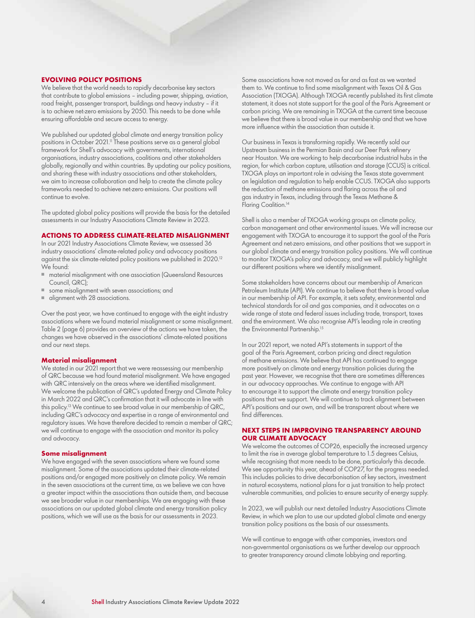## **EVOLVING POLICY POSITIONS**

We believe that the world needs to rapidly decarbonise key sectors that contribute to global emissions – including power, shipping, aviation, road freight, passenger transport, buildings and heavy industry – if it is to achieve net-zero emissions by 2050. This needs to be done while ensuring affordable and secure access to energy.

We published our updated global climate and energy transition policy positions in October 2021.<sup>11</sup> These positions serve as a general global framework for Shell's advocacy with governments, international organisations, industry associations, coalitions and other stakeholders globally, regionally and within countries. By updating our policy positions, and sharing these with industry associations and other stakeholders, we aim to increase collaboration and help to create the climate policy frameworks needed to achieve net-zero emissions. Our positions will continue to evolve.

The updated global policy positions will provide the basis for the detailed assessments in our Industry Associations Climate Review in 2023.

## **ACTIONS TO ADDRESS CLIMATE-RELATED MISALIGNMENT**

In our 2021 Industry Associations Climate Review, we assessed 36 industry associations' climate-related policy and advocacy positions against the six climate-related policy positions we published in 2020.12 We found:

- material misalignment with one association (Queensland Resources Council, QRC);
- some misalignment with seven associations; and
- alignment with 28 associations.

Over the past year, we have continued to engage with the eight industry associations where we found material misalignment or some misalignment. Table 2 (page 6) provides an overview of the actions we have taken, the changes we have observed in the associations' climate-related positions and our next steps.

#### **Material misalignment**

We stated in our 2021 report that we were reassessing our membership of QRC because we had found material misalignment. We have engaged with QRC intensively on the areas where we identified misalignment. We welcome the publication of QRC's updated Energy and Climate Policy in March 2022 and QRC's confirmation that it will advocate in line with this policy.13 We continue to see broad value in our membership of QRC, including QRC's advocacy and expertise in a range of environmental and regulatory issues. We have therefore decided to remain a member of QRC; we will continue to engage with the association and monitor its policy and advocacy.

## **Some misalignment**

We have engaged with the seven associations where we found some misalignment. Some of the associations updated their climate-related positions and/or engaged more positively on climate policy. We remain in the seven associations at the current time, as we believe we can have a greater impact within the associations than outside them, and because we see broader value in our memberships. We are engaging with these associations on our updated global climate and energy transition policy positions, which we will use as the basis for our assessments in 2023.

Some associations have not moved as far and as fast as we wanted them to. We continue to find some misalignment with Texas Oil & Gas Association (TXOGA). Although TXOGA recently published its first climate statement, it does not state support for the goal of the Paris Agreement or carbon pricing. We are remaining in TXOGA at the current time because we believe that there is broad value in our membership and that we have more influence within the association than outside it.

Our business in Texas is transforming rapidly. We recently sold our Upstream business in the Permian Basin and our Deer Park refinery near Houston. We are working to help decarbonise industrial hubs in the region, for which carbon capture, utilisation and storage (CCUS) is critical. TXOGA plays an important role in advising the Texas state government on legislation and regulation to help enable CCUS. TXOGA also supports the reduction of methane emissions and flaring across the oil and gas industry in Texas, including through the Texas Methane & Flaring Coalition.<sup>14</sup>

Shell is also a member of TXOGA working groups on climate policy, carbon management and other environmental issues. We will increase our engagement with TXOGA to encourage it to support the goal of the Paris Agreement and net-zero emissions, and other positions that we support in our global climate and energy transition policy positions. We will continue to monitor TXOGA's policy and advocacy, and we will publicly highlight our different positions where we identify misalignment.

Some stakeholders have concerns about our membership of American Petroleum Institute (API). We continue to believe that there is broad value in our membership of API. For example, it sets safety, environmental and technical standards for oil and gas companies, and it advocates on a wide range of state and federal issues including trade, transport, taxes and the environment. We also recognise API's leading role in creating the Environmental Partnership.15

In our 2021 report, we noted API's statements in support of the goal of the Paris Agreement, carbon pricing and direct regulation of methane emissions. We believe that API has continued to engage more positively on climate and energy transition policies during the past year. However, we recognise that there are sometimes differences in our advocacy approaches. We continue to engage with API to encourage it to support the climate and energy transition policy positions that we support. We will continue to track alignment between API's positions and our own, and will be transparent about where we find differences.

#### **NEXT STEPS IN IMPROVING TRANSPARENCY AROUND OUR CLIMATE ADVOCACY**

We welcome the outcomes of COP26, especially the increased urgency to limit the rise in average global temperature to 1.5 degrees Celsius, while recognising that more needs to be done, particularly this decade. We see opportunity this year, ahead of COP27, for the progress needed. This includes policies to drive decarbonisation of key sectors, investment in natural ecosystems, national plans for a just transition to help protect vulnerable communities, and policies to ensure security of energy supply.

In 2023, we will publish our next detailed Industry Associations Climate Review, in which we plan to use our updated global climate and energy transition policy positions as the basis of our assessments.

We will continue to engage with other companies, investors and non-governmental organisations as we further develop our approach to greater transparency around climate lobbying and reporting.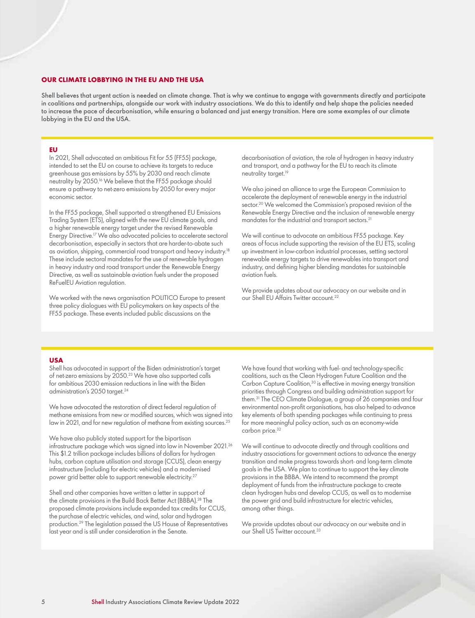#### **OUR CLIMATE LOBBYING IN THE EU AND THE USA**

Shell believes that urgent action is needed on climate change. That is why we continue to engage with governments directly and participate in coalitions and partnerships, alongside our work with industry associations. We do this to identify and help shape the policies needed to increase the pace of decarbonisation, while ensuring a balanced and just energy transition. Here are some examples of our climate lobbying in the EU and the USA.

#### **EU**

In 2021, Shell advocated an ambitious Fit for 55 (FF55) package, intended to set the EU on course to achieve its targets to reduce greenhouse gas emissions by 55% by 2030 and reach climate neutrality by 2050.<sup>16</sup> We believe that the FF55 package should ensure a pathway to net-zero emissions by 2050 for every major economic sector.

In the FF55 package, Shell supported a strengthened EU Emissions Trading System (ETS), aligned with the new EU climate goals, and a higher renewable energy target under the revised Renewable Energy Directive.<sup>17</sup> We also advocated policies to accelerate sectoral decarbonisation, especially in sectors that are harder-to-abate such as aviation, shipping, commercial road transport and heavy industry.18 These include sectoral mandates for the use of renewable hydrogen in heavy industry and road transport under the Renewable Energy Directive, as well as sustainable aviation fuels under the proposed ReFuelEU Aviation regulation.

We worked with the news organisation POLITICO Europe to present three policy dialogues with EU policymakers on key aspects of the FF55 package. These events included public discussions on the

decarbonisation of aviation, the role of hydrogen in heavy industry and transport, and a pathway for the EU to reach its climate neutrality target.<sup>19</sup>

We also joined an alliance to urge the European Commission to accelerate the deployment of renewable energy in the industrial sector.<sup>20</sup> We welcomed the Commission's proposed revision of the Renewable Energy Directive and the inclusion of renewable energy mandates for the industrial and transport sectors.<sup>21</sup>

We will continue to advocate an ambitious FF55 package. Key areas of focus include supporting the revision of the EU ETS, scaling up investment in low-carbon industrial processes, setting sectoral renewable energy targets to drive renewables into transport and industry, and defining higher blending mandates for sustainable aviation fuels.

We provide updates about our advocacy on our website and in our Shell EU Affairs Twitter account.<sup>22</sup>

## **USA**

Shell has advocated in support of the Biden administration's target of net-zero emissions by 2050.<sup>23</sup> We have also supported calls for ambitious 2030 emission reductions in line with the Biden administration's 2050 target.24

We have advocated the restoration of direct federal regulation of methane emissions from new or modified sources, which was signed into law in 2021, and for new regulation of methane from existing sources.<sup>25</sup>

We have also publicly stated support for the bipartisan infrastructure package which was signed into law in November 2021.<sup>26</sup> This \$1.2 trillion package includes billions of dollars for hydrogen hubs, carbon capture utilisation and storage (CCUS), clean energy infrastructure (including for electric vehicles) and a modernised power grid better able to support renewable electricity.<sup>27</sup>

Shell and other companies have written a letter in support of the climate provisions in the Build Back Better Act (BBBA).<sup>28</sup> The proposed climate provisions include expanded tax credits for CCUS, the purchase of electric vehicles, and wind, solar and hydrogen production.29 The legislation passed the US House of Representatives last year and is still under consideration in the Senate.

We have found that working with fuel- and technology-specific coalitions, such as the Clean Hydrogen Future Coalition and the Carbon Capture Coalition,<sup>30</sup> is effective in moving energy transition priorities through Congress and building administration support for them.31 The CEO Climate Dialogue, a group of 26 companies and four environmental non-profit organisations, has also helped to advance key elements of both spending packages while continuing to press for more meaningful policy action, such as an economy-wide carbon price.<sup>32</sup>

We will continue to advocate directly and through coalitions and industry associations for government actions to advance the energy transition and make progress towards short- and long-term climate goals in the USA. We plan to continue to support the key climate provisions in the BBBA. We intend to recommend the prompt deployment of funds from the infrastructure package to create clean hydrogen hubs and develop CCUS, as well as to modernise the power grid and build infrastructure for electric vehicles, among other things.

We provide updates about our advocacy on our website and in our Shell US Twitter account.<sup>33</sup>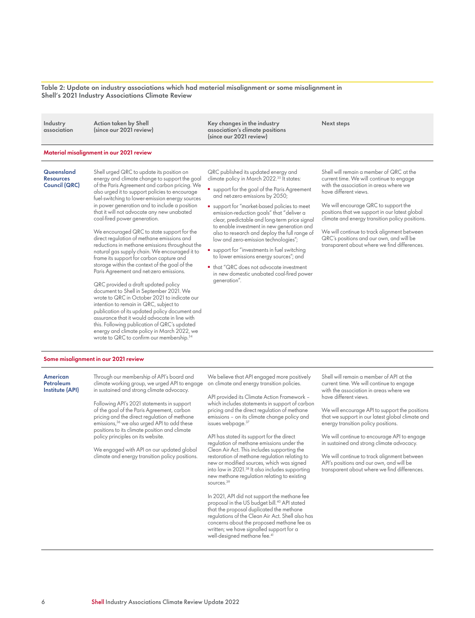Table 2: Update on industry associations which had material misalignment or some misalignment in Shell's 2021 Industry Associations Climate Review

| Industry<br>association                                | Action taken by Shell<br>(since our 2021 review)                                                                                                                                                                                                                                                                                                                                                                                                                                                                                                                                                                                                                                                                                                                                                                                                                                                                                                                                                                                                                                                                                                              | Key changes in the industry<br>association's climate positions<br>(since our 2021 review)                                                                                                                                                                                                                                                                                                                                                                                                                                                                                                                                                                              | <b>Next steps</b>                                                                                                                                                                                                                                                                                                                                                                                                                               |
|--------------------------------------------------------|---------------------------------------------------------------------------------------------------------------------------------------------------------------------------------------------------------------------------------------------------------------------------------------------------------------------------------------------------------------------------------------------------------------------------------------------------------------------------------------------------------------------------------------------------------------------------------------------------------------------------------------------------------------------------------------------------------------------------------------------------------------------------------------------------------------------------------------------------------------------------------------------------------------------------------------------------------------------------------------------------------------------------------------------------------------------------------------------------------------------------------------------------------------|------------------------------------------------------------------------------------------------------------------------------------------------------------------------------------------------------------------------------------------------------------------------------------------------------------------------------------------------------------------------------------------------------------------------------------------------------------------------------------------------------------------------------------------------------------------------------------------------------------------------------------------------------------------------|-------------------------------------------------------------------------------------------------------------------------------------------------------------------------------------------------------------------------------------------------------------------------------------------------------------------------------------------------------------------------------------------------------------------------------------------------|
|                                                        | Material misalignment in our 2021 review                                                                                                                                                                                                                                                                                                                                                                                                                                                                                                                                                                                                                                                                                                                                                                                                                                                                                                                                                                                                                                                                                                                      |                                                                                                                                                                                                                                                                                                                                                                                                                                                                                                                                                                                                                                                                        |                                                                                                                                                                                                                                                                                                                                                                                                                                                 |
| Queensland<br><b>Resources</b><br><b>Council (QRC)</b> | Shell urged QRC to update its position on<br>energy and climate change to support the goal<br>of the Paris Agreement and carbon pricing. We<br>also urged it to support policies to encourage<br>fuel-switching to lower-emission energy sources<br>in power generation and to include a position<br>that it will not advocate any new unabated<br>coal-fired power generation.<br>We encouraged QRC to state support for the<br>direct regulation of methane emissions and<br>reductions in methane emissions throughout the<br>natural gas supply chain. We encouraged it to<br>frame its support for carbon capture and<br>storage within the context of the goal of the<br>Paris Agreement and net-zero emissions.<br>QRC provided a draft updated policy<br>document to Shell in September 2021. We<br>wrote to QRC in October 2021 to indicate our<br>intention to remain in QRC, subject to<br>publication of its updated policy document and<br>assurance that it would advocate in line with<br>this. Following publication of QRC's updated<br>energy and climate policy in March 2022, we<br>wrote to QRC to confirm our membership. <sup>34</sup> | QRC published its updated energy and<br>climate policy in March 2022. <sup>35</sup> It states:<br>support for the goal of the Paris Agreement<br>and net-zero emissions by 2050;<br>support for "market-based policies to meet<br>emission-reduction goals" that "deliver a<br>clear, predictable and long-term price signal<br>to enable investment in new generation and<br>also to research and deploy the full range of<br>low and zero-emission technologies";<br>support for "investments in fuel switching"<br>to lower emissions energy sources"; and<br>• that "QRC does not advocate investment<br>in new domestic unabated coal-fired power<br>generation". | Shell will remain a member of QRC at the<br>current time. We will continue to engage<br>with the association in greas where we<br>have different views.<br>We will encourage QRC to support the<br>positions that we support in our latest global<br>climate and energy transition policy positions.<br>We will continue to track alignment between<br>QRC's positions and our own, and will be<br>transparent about where we find differences. |

# Some misalignment in our 2021 review

well-designed methane fee.41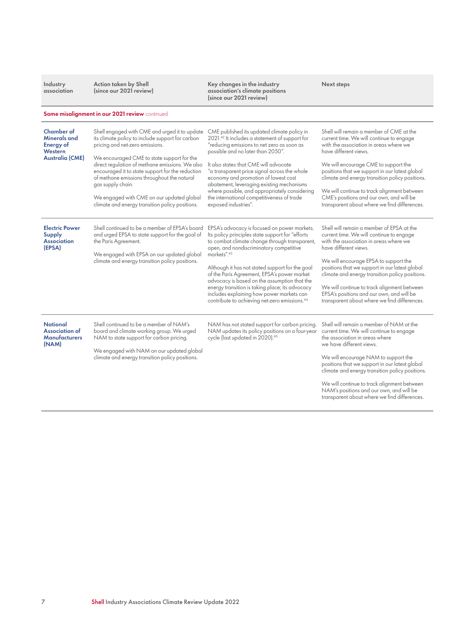| Industry<br>association                                                                    | Action taken by Shell<br>(since our 2021 review)                                                                                                                                                                                                                                                                                                                                                                                                              | Key changes in the industry<br>association's climate positions<br>(since our 2021 review)                                                                                                                                                                                                                                                                                                                                                                                                                                  | Next steps                                                                                                                                                                                                                                                                                                                                                                                                                                         |
|--------------------------------------------------------------------------------------------|---------------------------------------------------------------------------------------------------------------------------------------------------------------------------------------------------------------------------------------------------------------------------------------------------------------------------------------------------------------------------------------------------------------------------------------------------------------|----------------------------------------------------------------------------------------------------------------------------------------------------------------------------------------------------------------------------------------------------------------------------------------------------------------------------------------------------------------------------------------------------------------------------------------------------------------------------------------------------------------------------|----------------------------------------------------------------------------------------------------------------------------------------------------------------------------------------------------------------------------------------------------------------------------------------------------------------------------------------------------------------------------------------------------------------------------------------------------|
|                                                                                            | Some misalignment in our 2021 review continued                                                                                                                                                                                                                                                                                                                                                                                                                |                                                                                                                                                                                                                                                                                                                                                                                                                                                                                                                            |                                                                                                                                                                                                                                                                                                                                                                                                                                                    |
| <b>Chamber of</b><br>Minerals and<br><b>Energy of</b><br>Western<br><b>Australia (CME)</b> | Shell engaged with CME and urged it to update<br>its climate policy to include support for carbon<br>pricing and net-zero emissions.<br>We encouraged CME to state support for the<br>direct regulation of methane emissions. We also<br>encouraged it to state support for the reduction<br>of methane emissions throughout the natural<br>gas supply chain.<br>We engaged with CME on our updated global<br>climate and energy transition policy positions. | CME published its updated climate policy in<br>2021.42 It includes a statement of support for<br>"reducing emissions to net zero as soon as<br>possible and no later than 2050".<br>It also states that CME will advocate<br>"a transparent price signal across the whole<br>economy and promotion of lowest cost<br>abatement, leveraging existing mechanisms<br>where possible, and appropriately considering<br>the international competitiveness of trade<br>exposed industries".                                      | Shell will remain a member of CME at the<br>current time. We will continue to engage<br>with the association in areas where we<br>have different views.<br>We will encourage CME to support the<br>positions that we support in our latest global<br>climate and energy transition policy positions.<br>We will continue to track alignment between<br>CME's positions and our own, and will be<br>transparent about where we find differences.    |
| <b>Electric Power</b><br><b>Supply</b><br><b>Association</b><br>(EPSA)                     | Shell continued to be a member of EPSA's board<br>and urged EPSA to state support for the goal of<br>the Paris Agreement.<br>We engaged with EPSA on our updated global<br>climate and energy transition policy positions.                                                                                                                                                                                                                                    | EPSA's advocacy is focused on power markets.<br>Its policy principles state support for "efforts<br>to combat climate change through transparent,<br>open, and nondiscriminatory competitive<br>markets".43<br>Although it has not stated support for the goal<br>of the Paris Agreement, EPSA's power market<br>advocacy is based on the assumption that the<br>energy transition is taking place; its advocacy<br>includes explaining how power markets can<br>contribute to achieving net-zero emissions. <sup>44</sup> | Shell will remain a member of EPSA at the<br>current time. We will continue to engage<br>with the association in areas where we<br>have different views.<br>We will encourage EPSA to support the<br>positions that we support in our latest global<br>climate and energy transition policy positions.<br>We will continue to track alignment between<br>EPSA's positions and our own, and will be<br>transparent about where we find differences. |
| <b>National</b><br><b>Association of</b><br><b>Manufacturers</b><br>(NAM)                  | Shell continued to be a member of NAM's<br>board and climate working group. We urged<br>NAM to state support for carbon pricing.<br>We engaged with NAM on our updated global<br>climate and energy transition policy positions.                                                                                                                                                                                                                              | NAM has not stated support for carbon pricing.<br>NAM updates its policy positions on a four-year<br>cycle (last updated in 2020). <sup>45</sup>                                                                                                                                                                                                                                                                                                                                                                           | Shell will remain a member of NAM at the<br>current time. We will continue to engage<br>the association in areas where<br>we have different views.<br>We will encourage NAM to support the<br>positions that we support in our latest global<br>climate and energy transition policy positions.<br>We will continue to track alignment between<br>NAM's positions and our own, and will be<br>transparent about where we find differences.         |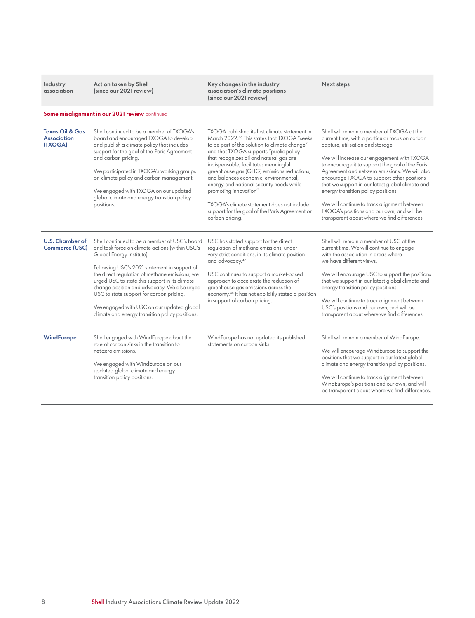| Industry<br>association                                     | Action taken by Shell<br>(since our 2021 review)                                                                                                                                                                                                                                                                                                                                                                                                                             | Key changes in the industry<br>association's climate positions<br>(since our 2021 review)                                                                                                                                                                                                                                                                                                                                                                                                                                                                                | Next steps                                                                                                                                                                                                                                                                                                                                                                                                                                                                                                                                                                   |
|-------------------------------------------------------------|------------------------------------------------------------------------------------------------------------------------------------------------------------------------------------------------------------------------------------------------------------------------------------------------------------------------------------------------------------------------------------------------------------------------------------------------------------------------------|--------------------------------------------------------------------------------------------------------------------------------------------------------------------------------------------------------------------------------------------------------------------------------------------------------------------------------------------------------------------------------------------------------------------------------------------------------------------------------------------------------------------------------------------------------------------------|------------------------------------------------------------------------------------------------------------------------------------------------------------------------------------------------------------------------------------------------------------------------------------------------------------------------------------------------------------------------------------------------------------------------------------------------------------------------------------------------------------------------------------------------------------------------------|
|                                                             | Some misalignment in our 2021 review continued                                                                                                                                                                                                                                                                                                                                                                                                                               |                                                                                                                                                                                                                                                                                                                                                                                                                                                                                                                                                                          |                                                                                                                                                                                                                                                                                                                                                                                                                                                                                                                                                                              |
| <b>Texas Oil &amp; Gas</b><br><b>Association</b><br>(TXOGA) | Shell continued to be a member of TXOGA's<br>board and encouraged TXOGA to develop<br>and publish a climate policy that includes<br>support for the goal of the Paris Agreement<br>and carbon pricing.<br>We participated in TXOGA's working groups<br>on climate policy and carbon management.<br>We engaged with TXOGA on our updated<br>global climate and energy transition policy<br>positions.                                                                         | TXOGA published its first climate statement in<br>March 2022. <sup>46</sup> This states that TXOGA "seeks<br>to be part of the solution to climate change"<br>and that TXOGA supports "public policy<br>that recognizes oil and natural gas are<br>indispensable, facilitates meaningful<br>greenhouse gas (GHG) emissions reductions,<br>and balances economic, environmental,<br>energy and national security needs while<br>promoting innovation".<br>TXOGA's climate statement does not include<br>support for the goal of the Paris Agreement or<br>carbon pricing. | Shell will remain a member of TXOGA at the<br>current time, with a particular focus on carbon<br>capture, utilisation and storage.<br>We will increase our engagement with TXOGA<br>to encourage it to support the goal of the Paris<br>Agreement and net-zero emissions. We will also<br>encourage TXOGA to support other positions<br>that we support in our latest global climate and<br>energy transition policy positions.<br>We will continue to track alignment between<br>TXOGA's positions and our own, and will be<br>transparent about where we find differences. |
| U.S. Chamber of<br>Commerce (USC)                           | Shell continued to be a member of USC's board<br>and task force on climate actions (within USC's<br>Global Energy Institute).<br>Following USC's 2021 statement in support of<br>the direct regulation of methane emissions, we<br>urged USC to state this support in its climate<br>change position and advocacy. We also urged<br>USC to state support for carbon pricing.<br>We engaged with USC on our updated global<br>climate and energy transition policy positions. | USC has stated support for the direct<br>regulation of methane emissions, under<br>very strict conditions, in its climate position<br>and advocacy. <sup>47</sup><br>USC continues to support a market-based<br>approach to accelerate the reduction of<br>greenhouse gas emissions across the<br>economy. <sup>48</sup> It has not explicitly stated a position<br>in support of carbon pricing.                                                                                                                                                                        | Shell will remain a member of USC at the<br>current time. We will continue to engage<br>with the association in areas where<br>we have different views.<br>We will encourage USC to support the positions<br>that we support in our latest global climate and<br>energy transition policy positions.<br>We will continue to track alignment between<br>USC's positions and our own, and will be<br>transparent about where we find differences.                                                                                                                              |
| WindEurope                                                  | Shell engaged with WindEurope about the<br>role of carbon sinks in the transition to<br>net-zero emissions.<br>We engaged with WindEurope on our<br>updated global climate and energy<br>transition policy positions.                                                                                                                                                                                                                                                        | WindEurope has not updated its published<br>statements on carbon sinks.                                                                                                                                                                                                                                                                                                                                                                                                                                                                                                  | Shell will remain a member of WindEurope.<br>We will encourage WindEurope to support the<br>positions that we support in our latest global<br>climate and energy transition policy positions.<br>We will continue to track alignment between<br>WindEurope's positions and our own, and will<br>be transparent about where we find differences.                                                                                                                                                                                                                              |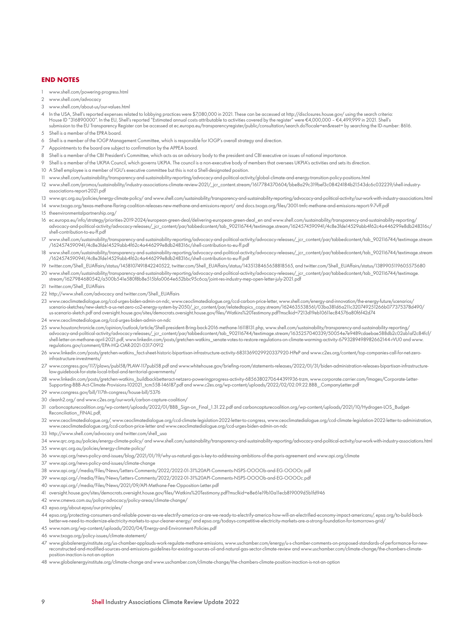#### **END NOTES**

- www.shell.com/powering-progress.html
- www.shell.com/advocacy
- www.shell.com/about-us/our-values.html
- In the USA, Shell's reported expenses related to lobbying practices were \$7,080,000 in 2021. These can be accessed at http://disclosures.house.gov/ using the search criteria: House ID "316890000". In the EU, Shell's reported "Estimated annual costs attributable to activities covered by the register" were €4,000,000 – €4,499,999 in 2021. Shell's submission to the EU Transparency Register can be accessed at ec.europa.eu/transparencyregister/public/consultation/search.do?locale=en&reset= by searching the ID-number: 8616.
- Shell is a member of the EPRA board.
- Shell is a member of the IOGP Management Committee, which is responsible for IOGP's overall strategy and direction.
- Appointments to the board are subject to confirmation by the APPEA board.
- Shell is a member of the CBI President's Committee, which acts as an advisory body to the president and CBI executive on issues of national importance.
- Shell is a member of the UKPIA Council, which governs UKPIA. The council is a non-executive body of members that oversees UKPIA's activities and sets its direction.
- A Shell employee is a member of IGU's executive committee but this is not a Shell-designated position.
- www.shell.com/sustainability/transparency-and-sustainability-reporting/advocacy-and-political-activity/global-climate-and-energy-transition-policy-positions.html
- www.shell.com/promos/sustainability/industry-associations-climate-review-2021/\_jcr\_content.stream/1617784370604/bbe8a29c319bef3c08424184b21543dc6c032239/shell-industryassociations-report-2021.pdf
- www.qrc.org.au/policies/energy-climate-policy/ and www.shell.com/sustainability/transparency-and-sustainability-reporting/advocacy-and-political-activity/our-work-with-industry-associations.html
- www.txoga.org/texas-methane-flaring-coalition-releases-new-methane-and-emissions-report/ and docs.txoga.org/files/3001-tmfc-methane-and-emissions-report-9-7vff.pdf
- theenvironmentalpartnership.org/
- ec.europa.eu/info/strategy/priorities-2019-2024/european-green-deal/delivering-european-green-deal\_en and www.shell.com/sustainability/transparency-and-sustainability-reporting/ advocacy-and-political-activity/advocacy-releases/\_jcr\_content/par/tabbedcontent/tab\_902116744/textimage.stream/1624574590941/4c8e3fde14529abb4f62c4a446299e8db248316c/ shell-contribution-to-eu-ff.pdf
- www.shell.com/sustainability/transparency-and-sustainability-reporting/advocacy-and-political-activity/advocacy-releases/\_jcr\_content/par/tabbedcontent/tab\_902116744/textimage.stream /1624574590941/4c8e3fde14529abb4f62c4a446299e8db248316c/shell-contribution-to-eu-ff.pdf
- www.shell.com/sustainability/transparency-and-sustainability-reporting/advocacy-and-political-activity/advocacy-releases/\_jcr\_content/par/tabbedcontent/tab\_902116744/textimage.stream /1624574590941/4c8e3fde14529abb4f62c4a446299e8db248316c/shell-contribution-to-eu-ff.pdf
- twitter.com/Shell\_EUAffairs/status/1458107491842240522, twitter.com/Shell\_EUAffairs/status/1435138465658818565, and twitter.com/Shell\_EUAffairs/status/1389905119605575680
- .20 www.shell.com/sustainability/transparency-and-sustainability-reporting/advocacy-and-political-activity/advocacy-releases/\_jcr\_content/par/tabbedcontent/tab\_902116744/textimage.<br>stream/1627984680542/a500b541e580f8b8e515
- twitter.com/Shell\_EUAffairs
- http://www.shell.com/advocacy and twitter.com/Shell\_EUAffairs
- www.ceoclimatedialogue.org/ccd-urges-biden-admin-on-ndc, www.ceoclimatedialogue.org/ccd-carbon-price-letter, www.shell.com/energy-and-innovation/the-energy-future/scenarios/ scenario-sketches/new-sketch-a-us-net-zero-co2-energy-system-by-2050/\_jcr\_content/par/relatedtopics\_copy.stream/1624635538561/03ba381d6a211c320749251266b077375378d490/ us-scenario-sketch.pdf and oversight.house.gov/sites/democrats.oversight.house.gov/files/Watkins%20Testimony.pdf?msclkid=7213d19eb10611ec84576a80f6f42d74
- www.ceoclimatedialogue.org/ccd-urges-biden-admin-on-ndc
- www.houstonchronicle.com/opinion/outlook/article/Shell-president-Bring-back-2016-methane-16118131.php, www.shell.com/sustainability/transparency-and-sustainability-reporting/ advocacy-and-political-activity/advocacy-releases/\_jcr\_content/par/tabbedcontent/tab\_902116744/textimage.stream/1635257040339/50054e7e9489cdaebae588db2c02ab1af2c84fcf/ shell-letter-on-methane-april-2021.pdf, www.linkedin.com/posts/gretchen-watkins\_senate-votes-to-restore-regulations-on-climate-warming-activity-6793289498982662144-rVU0 and www. regulations.gov/comment/EPA-HQ-OAR-2021-0317-0912
- www.linkedin.com/posts/gretchen-watkins\_fact-sheet-historic-bipartisan-infrastructure-activity-6831369029920337920-HPeP and www.c2es.org/content/top-companies-call-for-net-zeroinfrastructure-investments/
- www.congress.gov/117/plaws/publ58/PLAW-117publ58.pdf and www.whitehouse.gov/briefing-room/statements-releases/2022/01/31/biden-administration-releases-bipartisan-infrastructurelaw-guidebook-for-state-local-tribal-and-territorial-governments/
- www.linkedin.com/posts/gretchen-watkins\_buildbackbetteract-netzero-poweringprogress-activity-6856380270644391936-trzm, www.corporate.carrier.com/Images/Corporate-Letter-Supporting-BBB-Act-Climate-Provisions-102021\_tcm558-146187.pdf and www.c2es.org/wp-content/uploads/2022/02/02.09.22.BBB\_.CompanyLetter.pdf
- www.congress.gov/bill/117th-congress/house-bill/5376
- cleanh2.org/ and www.c2es.org/our-work/carbon-capture-coalition/
- carboncapturecoalition.org/wp-content/uploads/2022/01/BBB\_Sign-on\_Final\_1.31.22.pdf and carboncapturecoalition.org/wp-content/uploads/2021/10/Hydrogen-LOS\_Budget-Reconciliation\_FINAL.pdf,
- www.ceoclimatedialogue.org/, www.ceoclimatedialogue.org/ccd-climate-legislation-2022-letter-to-congress, www.ceoclimatedialogue.org/ccd-climate-legislation-2022-letter-to-administration, www.ceoclimatedialogue.org/ccd-carbon-price-letter and www.ceoclimatedialogue.org/ccd-urges-biden-admin-on-ndc
- http://www.shell.com/advocacy and twitter.com/shell\_usa
- www.qrc.org.au/policies/energy-climate-policy/ and www.shell.com/sustainability/transparency-and-sustainability-reporting/advocacy-and-political-activity/our-work-with-industry-associations.html
- www.qrc.org.au/policies/energy-climate-policy/
- www.api.org/news-policy-and-issues/blog/2021/01/19/why-us-natural-gas-is-key-to-addressing-ambitions-of-the-paris-agreement and www.api.org/climate
- www.api.org/news-policy-and-issues/climate-change
- www.api.org/-/media/Files/News/Letters-Comments/2022/2022-01-31%20API-Comments-NSPS-OOOOb-and-EG-OOOOc.pdf
- www.api.org/-/media/Files/News/Letters-Comments/2022/2022-01-31%20API-Comments-NSPS-OOOOb-and-EG-OOOOc.pdf
- www.api.org/-/media/Files/News/2021/09/API-Methane-Fee-Opposition-Letter.pdf
- oversight.house.gov/sites/democrats.oversight.house.gov/files/Watkins%20Testimony.pdf?msclkid=e8e61e19b10a11ecb819009d5b1fd946
- www.cmewa.com.au/policy-advocacy/policy-areas/climate-change/
- epsa.org/about-epsa/our-principles/
- epsa.org/protecting-consumers-and-reliable-power-as-we-electrify-america-or-are-we-ready-to-electrify-america-how-will-an-electrified-economy-impact-americans/, epsa.org/to-build-backbetter-we-need-to-modernize-electricity-markets-to-spur-cleaner-energy/ and epsa.org/todays-competitive-electricity-markets-are-a-strong-foundation-for-tomorrows-grid/
- www.nam.org/wp-content/uploads/2020/04/Energy-and-Environment-Policies.pdf
- www.txoga.org/policy-issues/climate-statement/
- www.globalenergyinstitute.org/us-chamber-applauds-work-regulate-methane-emissions, www.uschamber.com/energy/u-s-chamber-comments-on-proposed-standards-of-performance-for-newreconstructed-and-modified-sources-and-emissions-guidelines-for-existing-sources-oil-and-natural-gas-sector-climate-review and www.uschamber.com/climate-change/the-chambers-climateposition-inaction-is-not-an-option
- www.globalenergyinstitute.org/climate-change and www.uschamber.com/climate-change/the-chambers-climate-position-inaction-is-not-an-option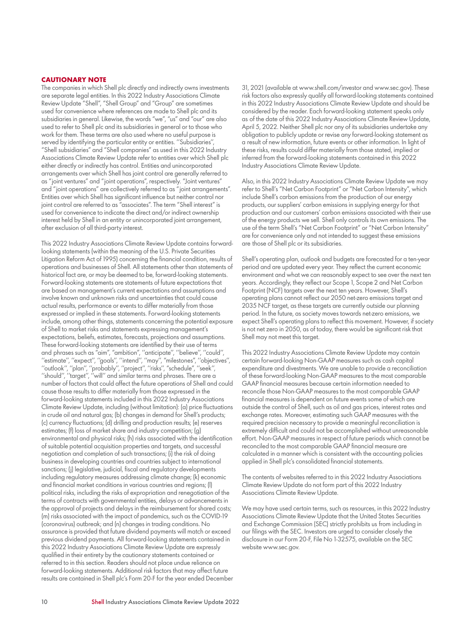## **CAUTIONARY NOTE**

The companies in which Shell plc directly and indirectly owns investments are separate legal entities. In this 2022 Industry Associations Climate Review Update "Shell", "Shell Group" and "Group" are sometimes used for convenience where references are made to Shell plc and its subsidiaries in general. Likewise, the words "we", "us" and "our" are also used to refer to Shell plc and its subsidiaries in general or to those who work for them. These terms are also used where no useful purpose is served by identifying the particular entity or entities. ''Subsidiaries'', "Shell subsidiaries" and "Shell companies" as used in this 2022 Industry Associations Climate Review Update refer to entities over which Shell plc either directly or indirectly has control. Entities and unincorporated arrangements over which Shell has joint control are generally referred to as "joint ventures" and "joint operations", respectively. "Joint ventures" and "joint operations" are collectively referred to as "joint arrangements". Entities over which Shell has significant influence but neither control nor joint control are referred to as "associates". The term "Shell interest" is used for convenience to indicate the direct and/or indirect ownership interest held by Shell in an entity or unincorporated joint arrangement, after exclusion of all third-party interest.

This 2022 Industry Associations Climate Review Update contains forwardlooking statements (within the meaning of the U.S. Private Securities Litigation Reform Act of 1995) concerning the financial condition, results of operations and businesses of Shell. All statements other than statements of historical fact are, or may be deemed to be, forward-looking statements. Forward-looking statements are statements of future expectations that are based on management's current expectations and assumptions and involve known and unknown risks and uncertainties that could cause actual results, performance or events to differ materially from those expressed or implied in these statements. Forward-looking statements include, among other things, statements concerning the potential exposure of Shell to market risks and statements expressing management's expectations, beliefs, estimates, forecasts, projections and assumptions. These forward-looking statements are identified by their use of terms and phrases such as "aim", "ambition", ''anticipate'', ''believe'', ''could'', ''estimate'', ''expect'', ''goals'', ''intend'', ''may'', "milestones", ''objectives'', ''outlook'', ''plan'', ''probably'', ''project'', ''risks'', "schedule", ''seek'', ''should'', ''target'', ''will'' and similar terms and phrases. There are a number of factors that could affect the future operations of Shell and could cause those results to differ materially from those expressed in the forward-looking statements included in this 2022 Industry Associations Climate Review Update, including (without limitation): (a) price fluctuations in crude oil and natural gas; (b) changes in demand for Shell's products; (c) currency fluctuations; (d) drilling and production results; (e) reserves estimates; (f) loss of market share and industry competition; (g) environmental and physical risks; (h) risks associated with the identification of suitable potential acquisition properties and targets, and successful negotiation and completion of such transactions; (i) the risk of doing business in developing countries and countries subject to international sanctions; (j) legislative, judicial, fiscal and regulatory developments including regulatory measures addressing climate change; (k) economic and financial market conditions in various countries and regions; (l) political risks, including the risks of expropriation and renegotiation of the terms of contracts with governmental entities, delays or advancements in the approval of projects and delays in the reimbursement for shared costs; (m) risks associated with the impact of pandemics, such as the COVID-19 (coronavirus) outbreak; and (n) changes in trading conditions. No assurance is provided that future dividend payments will match or exceed previous dividend payments. All forward-looking statements contained in this 2022 Industry Associations Climate Review Update are expressly qualified in their entirety by the cautionary statements contained or referred to in this section. Readers should not place undue reliance on forward-looking statements. Additional risk factors that may affect future results are contained in Shell plc's Form 20-F for the year ended December 31, 2021 (available at www.shell.com/investor and www.sec.gov). These risk factors also expressly qualify all forward-looking statements contained in this 2022 Industry Associations Climate Review Update and should be considered by the reader. Each forward-looking statement speaks only as of the date of this 2022 Industry Associations Climate Review Update, April 5, 2022. Neither Shell plc nor any of its subsidiaries undertake any obligation to publicly update or revise any forward-looking statement as a result of new information, future events or other information. In light of these risks, results could differ materially from those stated, implied or inferred from the forward-looking statements contained in this 2022 Industry Associations Climate Review Update.

Also, in this 2022 Industry Associations Climate Review Update we may refer to Shell's "Net Carbon Footprint" or "Net Carbon Intensity", which include Shell's carbon emissions from the production of our energy products, our suppliers' carbon emissions in supplying energy for that production and our customers' carbon emissions associated with their use of the energy products we sell. Shell only controls its own emissions. The use of the term Shell's "Net Carbon Footprint" or "Net Carbon Intensity" are for convenience only and not intended to suggest these emissions are those of Shell plc or its subsidiaries.

Shell's operating plan, outlook and budgets are forecasted for a ten-year period and are updated every year. They reflect the current economic environment and what we can reasonably expect to see over the next ten years. Accordingly, they reflect our Scope 1, Scope 2 and Net Carbon Footprint (NCF) targets over the next ten years. However, Shell's operating plans cannot reflect our 2050 net-zero emissions target and 2035 NCF target, as these targets are currently outside our planning period. In the future, as society moves towards net-zero emissions, we expect Shell's operating plans to reflect this movement. However, if society is not net zero in 2050, as of today, there would be significant risk that Shell may not meet this target.

This 2022 Industry Associations Climate Review Update may contain certain forward-looking Non-GAAP measures such as cash capital expenditure and divestments. We are unable to provide a reconciliation of these forward-looking Non-GAAP measures to the most comparable GAAP financial measures because certain information needed to reconcile those Non-GAAP measures to the most comparable GAAP financial measures is dependent on future events some of which are outside the control of Shell, such as oil and gas prices, interest rates and exchange rates. Moreover, estimating such GAAP measures with the required precision necessary to provide a meaningful reconciliation is extremely difficult and could not be accomplished without unreasonable effort. Non-GAAP measures in respect of future periods which cannot be reconciled to the most comparable GAAP financial measure are calculated in a manner which is consistent with the accounting policies applied in Shell plc's consolidated financial statements.

The contents of websites referred to in this 2022 Industry Associations Climate Review Update do not form part of this 2022 Industry Associations Climate Review Update.

We may have used certain terms, such as resources, in this 2022 Industry Associations Climate Review Update that the United States Securities and Exchange Commission (SEC) strictly prohibits us from including in our filings with the SEC. Investors are urged to consider closely the disclosure in our Form 20-F, File No 1-32575, available on the SEC website www.sec.gov.